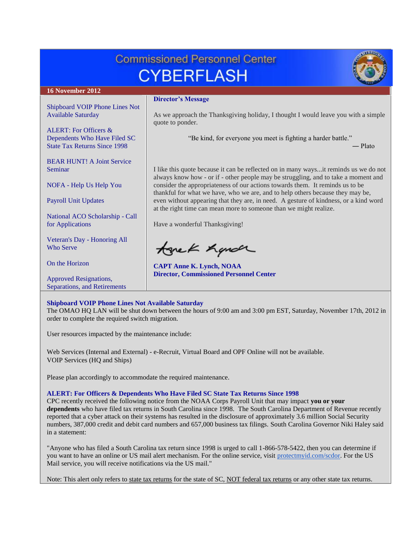### **Commissioned Personnel Center CYBERFLASH 16 November 2012 Director's Message** [Shipboard VOIP Phone Lines Not](#page-0-0)  [Available Saturday](#page-0-0) As we approach the Thanksgiving holiday, I thought I would leave you with a simple quote to ponder. [ALERT: For Officers &](#page-0-1)  [Dependents Who Have Filed SC](#page-0-1)  "Be kind, for everyone you meet is fighting a harder battle." [State Tax Returns Since 1998](#page-0-1) ― Plato [BEAR HUNT! A Joint Service](#page-1-0)  [Seminar](#page-1-0) I like this quote because it can be reflected on in many ways...it reminds us we do not always know how - or if - other people may be struggling, and to take a moment and NOFA - [Help Us Help You](#page-1-1) consider the appropriateness of our actions towards them. It reminds us to be thankful for what we have, who we are, and to help others because they may be, [Payroll Unit Updates](#page-1-2) even without appearing that they are, in need. A gesture of kindness, or a kind word at the right time can mean more to someone than we might realize. [National ACO Scholarship -](#page-1-3) Call [for Applications](#page-1-3) Have a wonderful Thanksgiving! [Veteran's Day -](#page-2-0) Honoring All tonek handr [Who Serve](#page-2-0) [On the Horizon](#page-2-1) **CAPT Anne K. Lynch, NOAA Director, Commissioned Personnel Center** [Approved Resignations,](#page-3-0)  [Separations, and Retirements](#page-3-0)

# <span id="page-0-0"></span>**Shipboard VOIP Phone Lines Not Available Saturday**

The OMAO HQ LAN will be shut down between the hours of 9:00 am and 3:00 pm EST, Saturday, November 17th, 2012 in order to complete the required switch migration.

User resources impacted by the maintenance include:

Web Services (Internal and External) - e-Recruit, Virtual Board and OPF Online will not be available. VOIP Services (HQ and Ships)

Please plan accordingly to accommodate the required maintenance.

# <span id="page-0-1"></span>**ALERT: For Officers & Dependents Who Have Filed SC State Tax Returns Since 1998**

CPC recently received the following notice from the NOAA Corps Payroll Unit that may impact **you or your dependents** who have filed tax returns in South Carolina since 1998. The South Carolina Department of Revenue recently reported that a cyber attack on their systems has resulted in the disclosure of approximately 3.6 million Social Security numbers, 387,000 credit and debit card numbers and 657,000 business tax filings. South Carolina Governor Niki Haley said in a statement:

"Anyone who has filed a South Carolina tax return since 1998 is urged to call 1-866-578-5422, then you can determine if you want to have an online or US mail alert mechanism. For the online service, visit [protectmyid.com/scdor.](http://protectmyid.com/scdor) For the US Mail service, you will receive notifications via the US mail."

Note: This alert only refers to state tax returns for the state of SC, NOT federal tax returns or any other state tax returns.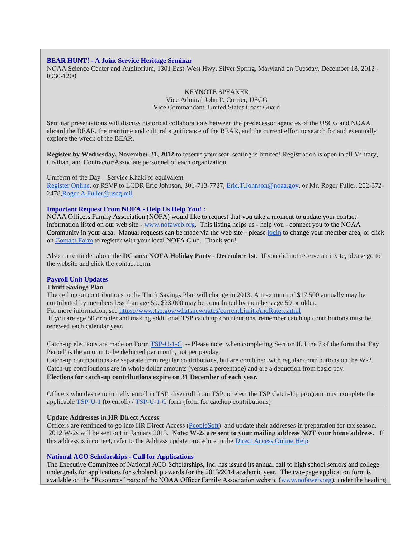#### <span id="page-1-0"></span>**BEAR HUNT! - A Joint Service Heritage Seminar**

NOAA Science Center and Auditorium, 1301 East-West Hwy, Silver Spring, Maryland on Tuesday, December 18, 2012 - 0930-1200

# KEYNOTE SPEAKER Vice Admiral John P. Currier, USCG Vice Commandant, United States Coast Guard

Seminar presentations will discuss historical collaborations between the predecessor agencies of the USCG and NOAA aboard the BEAR, the maritime and cultural significance of the BEAR, and the current effort to search for and eventually explore the wreck of the BEAR.

**Register by Wednesday, November 21, 2012** to reserve your seat, seating is limited! Registration is open to all Military, Civilian, and Contractor/Associate personnel of each organization

### Uniform of the Day – Service Khaki or equivalent

[Register Online,](http://www.doodle.com/9u2cixahvmibq8vv) or RSVP to LCDR Eric Johnson, 301-713-7727, [Eric.T.Johnson@noaa.gov,](mailto:Eric.T.Johnson@noaa.gov) or Mr. Roger Fuller, 202-372-247[8,Roger.A.Fuller@uscg.mil](mailto:Roger.A.Fuller@uscg.mil)

## <span id="page-1-1"></span>**Important Request From NOFA - Help Us Help You! :**

NOAA Officers Family Association (NOFA) would like to request that you take a moment to update your contact information listed on our web site - [www.nofaweb.org.](http://www.nofaweb.org/) This listing helps us - help you - connect you to the NOAA Community in your area. Manual requests can be made via the web site - please [login](http://www.nofaweb.org/login.php?info=DENIED) to change your member area, or click on [Contact Form](http://www.nofaweb.org/contacts/) to register with your local NOFA Club. Thank you!

Also - a reminder about the **DC area NOFA Holiday Party** - **December 1st**. If you did not receive an invite, please go to the website and click the contact form.

### <span id="page-1-2"></span>**Payroll Unit Updates**

## **Thrift Savings Plan**

The ceiling on contributions to the Thrift Savings Plan will change in 2013. A maximum of \$17,500 annually may be contributed by members less than age 50. \$23,000 may be contributed by members age 50 or older. For more information, see <https://www.tsp.gov/whatsnew/rates/currentLimitsAndRates.shtml>

If you are age 50 or older and making additional TSP catch up contributions, remember catch up contributions must be renewed each calendar year.

Catch-up elections are made on Form [TSP-U-1-C](https://www.tsp.gov/PDF/formspubs/tsp-u-1-c.pdf) -- Please note, when completing Section II, Line 7 of the form that 'Pay Period' is the amount to be deducted per month, not per payday.

Catch-up contributions are separate from regular contributions, but are combined with regular contributions on the W-2. Catch-up contributions are in whole dollar amounts (versus a percentage) and are a deduction from basic pay. **Elections for catch-up contributions expire on 31 December of each year.**

Officers who desire to initially enroll in TSP, disenroll from TSP, or elect the TSP Catch-Up program must complete the applicable [TSP-U-1](https://www.tsp.gov/PDF/formspubs/tsp-u-1.pdf) (to enroll) / [TSP-U-1-C](https://www.tsp.gov/PDF/formspubs/tsp-u-1-c.pdf) form (form for catchup contributions)

### **Update Addresses in HR Direct Access**

Officers are reminded to go into HR Direct Access [\(PeopleSoft\)](https://ep.direct-access.us/psp/UCGP1PP/?cmd=login&languageCd=ENG&) and update their addresses in preparation for tax season. 2012 W-2s will be sent out in January 2013. **Note: W-2s are sent to your mailing address NOT your home address.** If this address is incorrect, refer to the Address update procedure in the [Direct Access Online Help.](http://www.uscg.mil/ppc/ps/index.htm#self_service/members/change_home_or_mailing_address.htm)

### <span id="page-1-3"></span>**National ACO Scholarships - Call for Applications**

The Executive Committee of National ACO Scholarships, Inc. has issued its annual call to high school seniors and college undergrads for applications for scholarship awards for the 2013/2014 academic year. The two-page application form is available on the "Resources" page of the NOAA Officer Family Association website [\(www.nofaweb.org\)](http://www.nofaweb.org/), under the heading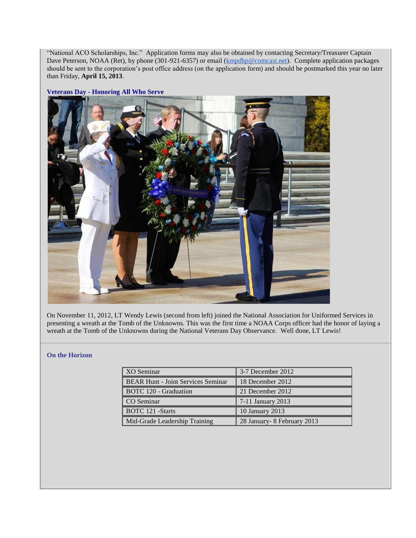"National ACO Scholarships, Inc." Application forms may also be obtained by contacting Secretary/Treasurer Captain Dave Peterson, NOAA (Ret), by phone (301-921-6357) or email [\(kmpdhp@comcast.net\)](mailto:kmpdhp@comcast.net). Complete application packages should be sent to the corporation's post office address (on the application form) and should be postmarked this year no later than Friday, **April 15, 2013**.

<span id="page-2-0"></span>**Veterans Day - Honoring All Who Serve**



On November 11, 2012, LT Wendy Lewis (second from left) joined the National Association for Uniformed Services in presenting a wreath at the Tomb of the Unknowns. This was the first time a NOAA Corps officer had the honor of laying a wreath at the Tomb of the Unknowns during the National Veterans Day Observance. Well done, LT Lewis!

### <span id="page-2-1"></span>**On the Horizon**

| XO Seminar                                | 3-7 December 2012            |
|-------------------------------------------|------------------------------|
| <b>BEAR Hunt - Joint Services Seminar</b> | 18 December 2012             |
| <b>BOTC</b> 120 - Graduation              | 21 December 2012             |
| CO Seminar                                | 7-11 January 2013            |
| <b>BOTC</b> 121 -Starts                   | 10 January 2013              |
| Mid-Grade Leadership Training             | 28 January - 8 February 2013 |